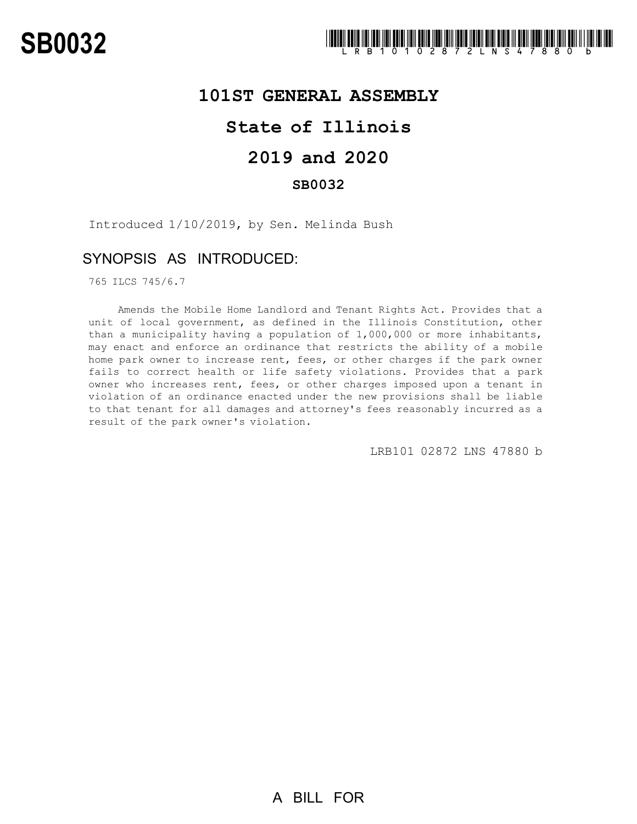### **101ST GENERAL ASSEMBLY**

# **State of Illinois**

# **2019 and 2020**

### **SB0032**

Introduced 1/10/2019, by Sen. Melinda Bush

## SYNOPSIS AS INTRODUCED:

765 ILCS 745/6.7

Amends the Mobile Home Landlord and Tenant Rights Act. Provides that a unit of local government, as defined in the Illinois Constitution, other than a municipality having a population of 1,000,000 or more inhabitants, may enact and enforce an ordinance that restricts the ability of a mobile home park owner to increase rent, fees, or other charges if the park owner fails to correct health or life safety violations. Provides that a park owner who increases rent, fees, or other charges imposed upon a tenant in violation of an ordinance enacted under the new provisions shall be liable to that tenant for all damages and attorney's fees reasonably incurred as a result of the park owner's violation.

LRB101 02872 LNS 47880 b

A BILL FOR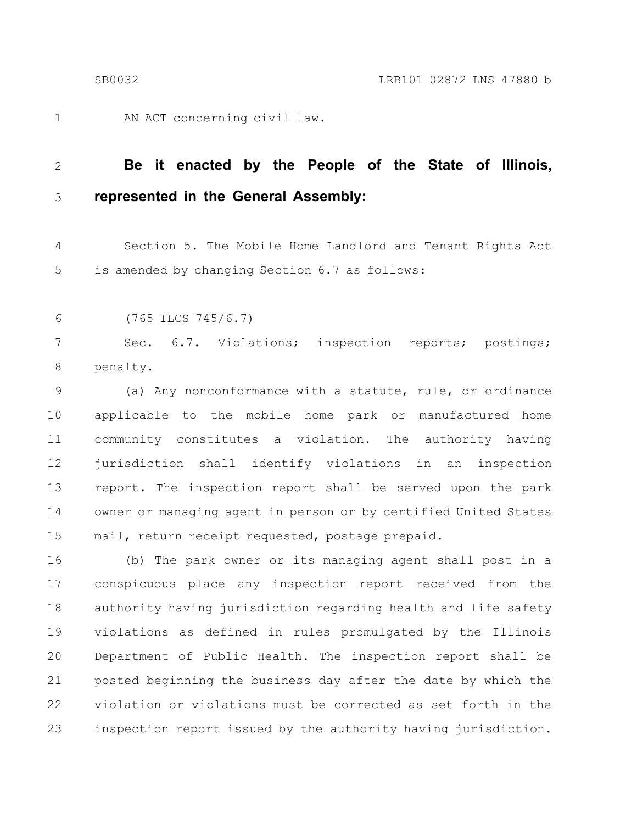1

AN ACT concerning civil law.

#### **Be it enacted by the People of the State of Illinois, represented in the General Assembly:** 2 3

Section 5. The Mobile Home Landlord and Tenant Rights Act is amended by changing Section 6.7 as follows: 4 5

(765 ILCS 745/6.7) 6

Sec. 6.7. Violations; inspection reports; postings; penalty. 7 8

(a) Any nonconformance with a statute, rule, or ordinance applicable to the mobile home park or manufactured home community constitutes a violation. The authority having jurisdiction shall identify violations in an inspection report. The inspection report shall be served upon the park owner or managing agent in person or by certified United States mail, return receipt requested, postage prepaid. 9 10 11 12 13 14 15

(b) The park owner or its managing agent shall post in a conspicuous place any inspection report received from the authority having jurisdiction regarding health and life safety violations as defined in rules promulgated by the Illinois Department of Public Health. The inspection report shall be posted beginning the business day after the date by which the violation or violations must be corrected as set forth in the inspection report issued by the authority having jurisdiction. 16 17 18 19 20 21 22 23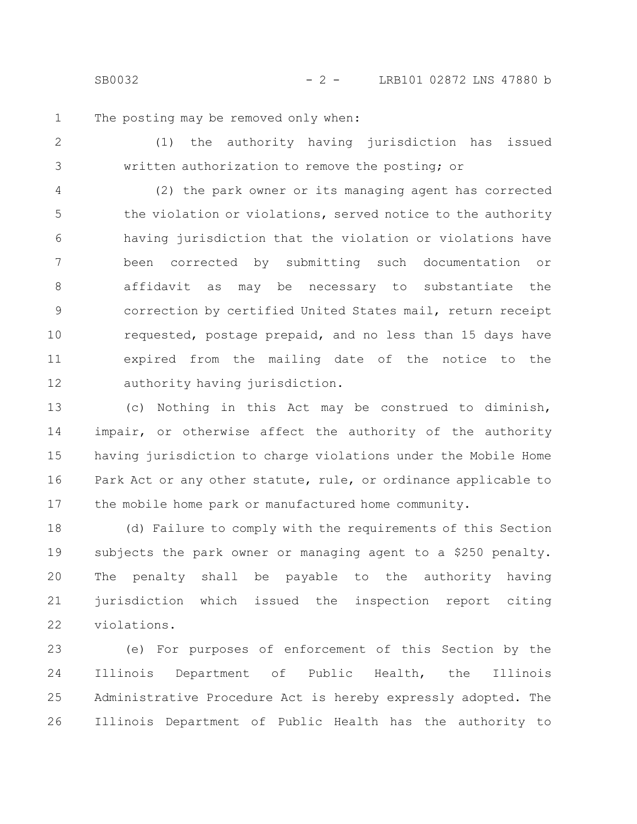SB0032 - 2 - LRB101 02872 LNS 47880 b

The posting may be removed only when: 1

(1) the authority having jurisdiction has issued written authorization to remove the posting; or 2 3

(2) the park owner or its managing agent has corrected the violation or violations, served notice to the authority having jurisdiction that the violation or violations have been corrected by submitting such documentation or affidavit as may be necessary to substantiate the correction by certified United States mail, return receipt requested, postage prepaid, and no less than 15 days have expired from the mailing date of the notice to the authority having jurisdiction. 4 5 6 7 8 9 10 11 12

(c) Nothing in this Act may be construed to diminish, impair, or otherwise affect the authority of the authority having jurisdiction to charge violations under the Mobile Home Park Act or any other statute, rule, or ordinance applicable to the mobile home park or manufactured home community. 13 14 15 16 17

(d) Failure to comply with the requirements of this Section subjects the park owner or managing agent to a \$250 penalty. The penalty shall be payable to the authority having jurisdiction which issued the inspection report citing violations. 18 19 20 21 22

(e) For purposes of enforcement of this Section by the Illinois Department of Public Health, the Illinois Administrative Procedure Act is hereby expressly adopted. The Illinois Department of Public Health has the authority to 23 24 25 26